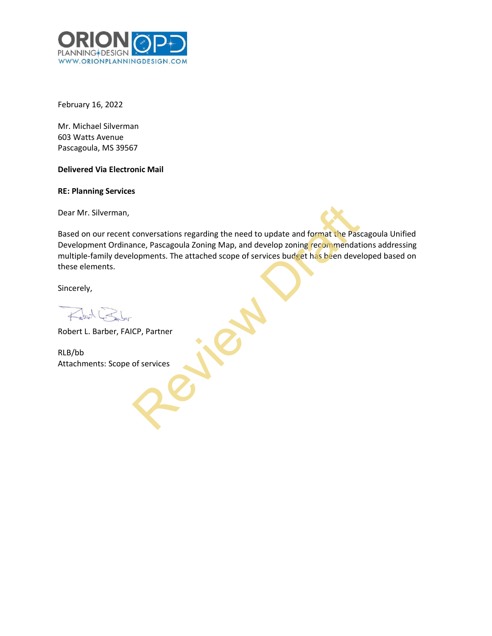

February 16, 2022

Mr. Michael Silverman 603 Watts Avenue Pascagoula, MS 39567

## **Delivered Via Electronic Mail**

**RE: Planning Services**

Dear Mr. Silverman,

Based on our recent conversations regarding the need to update and format the Pascagoula Unified Development Ordinance, Pascagoula Zoning Map, and develop zoning recommendations addressing multiple-family developments. The attached scope of services budget has been developed based on these elements. conversations regarding the need to update and format the Pass<br>nce, Pascagoula Zoning Map, and develop zoning recommendat<br>lopments. The attached scope of services budget has been deve<br><br>CP, Partner<br>of services

Sincerely,

 $\leftarrow$  of  $\leftarrow$ 

Robert L. Barber, FAICP, Partner

RLB/bb Attachments: Scope of services